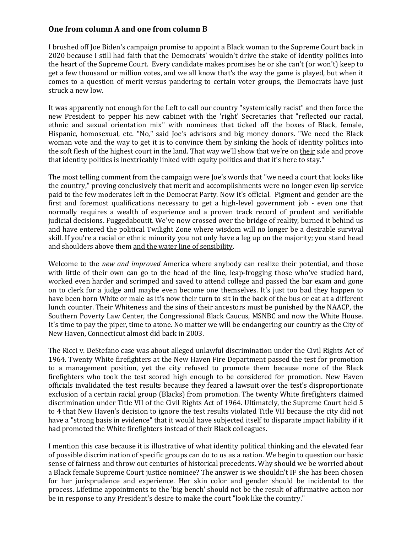## **One from column A and one from column B**

I brushed off Joe Biden's campaign promise to appoint a Black woman to the Supreme Court back in 2020 because I still had faith that the Democrats' wouldn't drive the stake of identity politics into the heart of the Supreme Court. Every candidate makes promises he or she can't (or won't) keep to get a few thousand or million votes, and we all know that's the way the game is played, but when it comes to a question of merit versus pandering to certain voter groups, the Democrats have just struck a new low.

It was apparently not enough for the Left to call our country "systemically racist" and then force the new President to pepper his new cabinet with the 'right' Secretaries that "reflected our racial, ethnic and sexual orientation mix" with nominees that ticked off the boxes of Black, female, Hispanic, homosexual, etc. "No," said Joe's advisors and big money donors. "We need the Black woman vote and the way to get it is to convince them by sinking the hook of identity politics into the soft flesh of the highest court in the land. That way we'll show that we're on their side and prove that identity politics is inextricably linked with equity politics and that it's here to stay."

The most telling comment from the campaign were Joe's words that "we need a court that looks like the country," proving conclusively that merit and accomplishments were no longer even lip service paid to the few moderates left in the Democrat Party. Now it's official. Pigment and gender are the first and foremost qualifications necessary to get a high-level government job - even one that normally requires a wealth of experience and a proven track record of prudent and verifiable judicial decisions. Fuggedaboutit. We've now crossed over the bridge of reality, burned it behind us and have entered the political Twilight Zone where wisdom will no longer be a desirable survival skill. If you're a racial or ethnic minority you not only have a leg up on the majority; you stand head and shoulders above them and the water line of sensibility.

Welcome to the *new and improved* America where anybody can realize their potential, and those with little of their own can go to the head of the line, leap-frogging those who've studied hard, worked even harder and scrimped and saved to attend college and passed the bar exam and gone on to clerk for a judge and maybe even become one themselves. It's just too bad they happen to have been born White or male as it's now their turn to sit in the back of the bus or eat at a different lunch counter. Their Whiteness and the sins of their ancestors must be punished by the NAACP, the Southern Poverty Law Center, the Congressional Black Caucus, MSNBC and now the White House. It's time to pay the piper, time to atone. No matter we will be endangering our country as the City of New Haven, Connecticut almost did back in 2003.

The Ricci v. DeStefano case was about alleged unlawful discrimination under the Civil Rights Act of 1964. Twenty White firefighters at the New Haven Fire Department passed the test for promotion to a management position, yet the city refused to promote them because none of the Black firefighters who took the test scored high enough to be considered for promotion. New Haven officials invalidated the test results because they feared a lawsuit over the test's disproportionate exclusion of a certain racial group (Blacks) from promotion. The twenty White firefighters claimed discrimination under Title VII of the Civil Rights Act of 1964. Ultimately, the Supreme Court held 5 to 4 that New Haven's decision to ignore the test results violated Title VII because the city did not have a "strong basis in evidence" that it would have subjected itself to disparate impact liability if it had promoted the White firefighters instead of their Black colleagues.

I mention this case because it is illustrative of what identity political thinking and the elevated fear of possible discrimination of specific groups can do to us as a nation. We begin to question our basic sense of fairness and throw out centuries of historical precedents. Why should we be worried about a Black female Supreme Court justice nominee? The answer is we shouldn't IF she has been chosen for her jurisprudence and experience. Her skin color and gender should be incidental to the process. Lifetime appointments to the 'big bench' should not be the result of affirmative action nor be in response to any President's desire to make the court "look like the country."